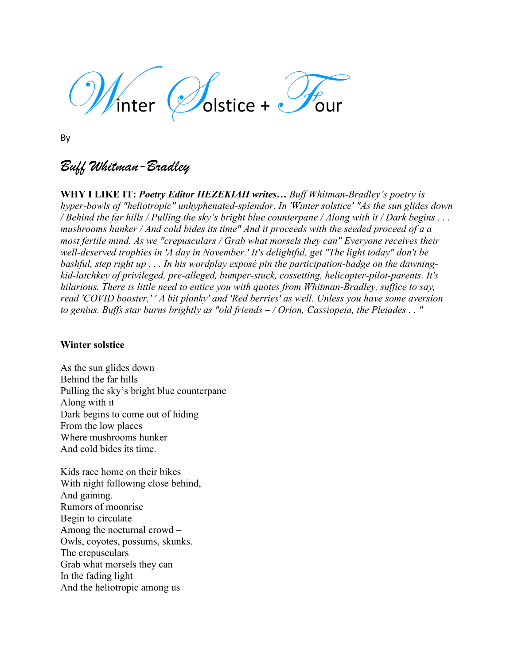inter  $\mathscr{L}$ olstice +  $\mathscr{L}$ our

By

# *Buff Whitman-Bradley*

**WHY I LIKE IT:** *Poetry Editor HEZEKIAH writes… Buff Whitman-Bradley's poetry is hyper-bowls of "heliotropic" unhyphenated-splendor. In 'Winter solstice' "As the sun glides down / Behind the far hills / Pulling the sky's bright blue counterpane / Along with it / Dark begins . . . mushrooms hunker / And cold bides its time" And it proceeds with the seeded proceed of a a most fertile mind. As we "crepusculars / Grab what morsels they can" Everyone receives their well-deserved trophies in 'A day in November.' It's delightful, get "The light today" don't be bashful, step right up . . . In his wordplay exposé pin the participation-badge on the dawningkid-latchkey of privileged, pre-alleged, bumper-stuck, cossetting, helicopter-pilot-parents. It's hilarious. There is little need to entice you with quotes from Whitman-Bradley, suffice to say, read 'COVID booster,' ' A bit plonky' and 'Red berries' as well. Unless you have some aversion to genius. Buffs star burns brightly as "old friends – / Orion, Cassiopeia, the Pleiades . . "* 

### **Winter solstice**

As the sun glides down Behind the far hills Pulling the sky's bright blue counterpane Along with it Dark begins to come out of hiding From the low places Where mushrooms hunker And cold bides its time.

Kids race home on their bikes With night following close behind, And gaining. Rumors of moonrise Begin to circulate Among the nocturnal crowd – Owls, coyotes, possums, skunks. The crepusculars Grab what morsels they can In the fading light And the heliotropic among us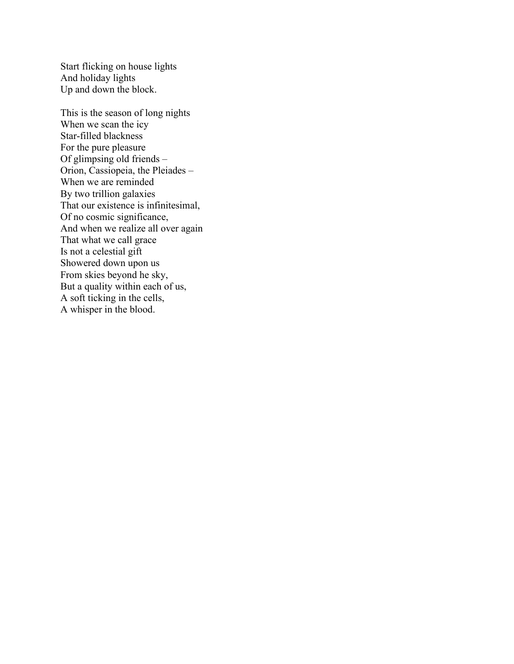Start flicking on house lights And holiday lights Up and down the block.

This is the season of long nights When we scan the icy Star-filled blackness For the pure pleasure Of glimpsing old friends – Orion, Cassiopeia, the Pleiades – When we are reminded By two trillion galaxies That our existence is infinitesimal, Of no cosmic significance, And when we realize all over again That what we call grace Is not a celestial gift Showered down upon us From skies beyond he sky, But a quality within each of us, A soft ticking in the cells, A whisper in the blood.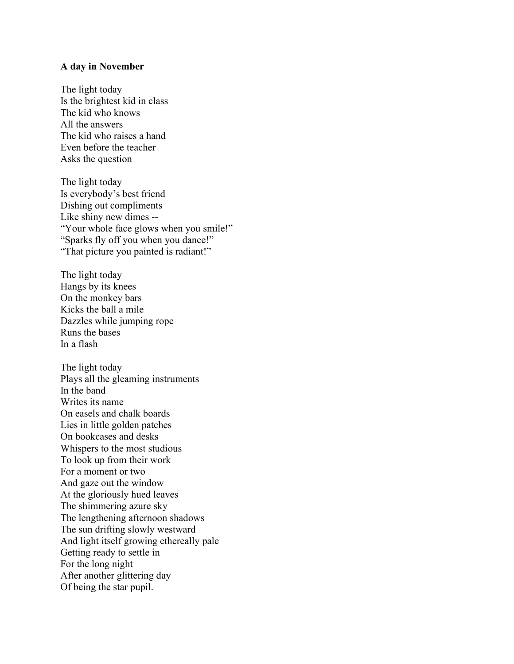#### **A day in November**

The light today Is the brightest kid in class The kid who knows All the answers The kid who raises a hand Even before the teacher Asks the question

The light today Is everybody's best friend Dishing out compliments Like shiny new dimes -- "Your whole face glows when you smile!" "Sparks fly off you when you dance!" "That picture you painted is radiant!"

The light today Hangs by its knees On the monkey bars Kicks the ball a mile Dazzles while jumping rope Runs the bases In a flash

The light today Plays all the gleaming instruments In the band Writes its name On easels and chalk boards Lies in little golden patches On bookcases and desks Whispers to the most studious To look up from their work For a moment or two And gaze out the window At the gloriously hued leaves The shimmering azure sky The lengthening afternoon shadows The sun drifting slowly westward And light itself growing ethereally pale Getting ready to settle in For the long night After another glittering day Of being the star pupil.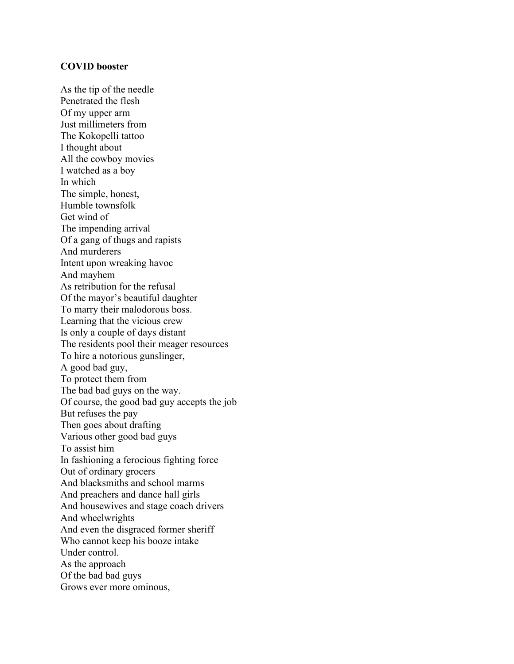#### **COVID booster**

As the tip of the needle Penetrated the flesh Of my upper arm Just millimeters from The Kokopelli tattoo I thought about All the cowboy movies I watched as a boy In which The simple, honest, Humble townsfolk Get wind of The impending arrival Of a gang of thugs and rapists And murderers Intent upon wreaking havoc And mayhem As retribution for the refusal Of the mayor's beautiful daughter To marry their malodorous boss. Learning that the vicious crew Is only a couple of days distant The residents pool their meager resources To hire a notorious gunslinger, A good bad guy, To protect them from The bad bad guys on the way. Of course, the good bad guy accepts the job But refuses the pay Then goes about drafting Various other good bad guys To assist him In fashioning a ferocious fighting force Out of ordinary grocers And blacksmiths and school marms And preachers and dance hall girls And housewives and stage coach drivers And wheelwrights And even the disgraced former sheriff Who cannot keep his booze intake Under control. As the approach Of the bad bad guys Grows ever more ominous,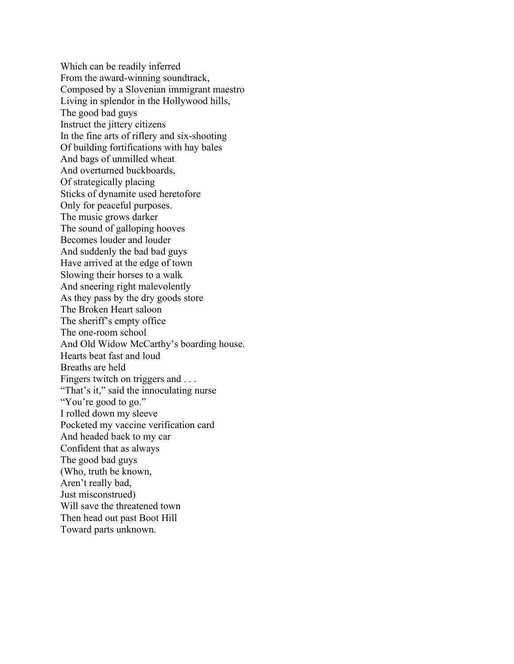Which can be readily inferred From the award-winning soundtrack, Composed by a Slovenian immigrant maestro Living in splendor in the Hollywood hills, The good bad guys Instruct the jittery citizens In the fine arts of riflery and six-shooting Of building fortifications with hay bales And bags of unmilled wheat And overturned buckboards, Of strategically placing Sticks of dynamite used heretofore Only for peaceful purposes. The music grows darker The sound of galloping hooves Becomes louder and louder And suddenly the bad bad guys Have arrived at the edge of town Slowing their horses to a walk And sneering right malevolently As they pass by the dry goods store The Broken Heart saloon The sheriff's empty office The one-room school And Old Widow McCarthy's boarding house. Hearts beat fast and loud Breaths are held Fingers twitch on triggers and ... "That's it," said the innoculating nurse "You're good to go." I rolled down my sleeve Pocketed my vaccine verification card And headed back to my car Confident that as always The good bad guys (Who, truth be known, Aren't really bad, Just misconstrued) Will save the threatened town Then head out past Boot Hill Toward parts unknown.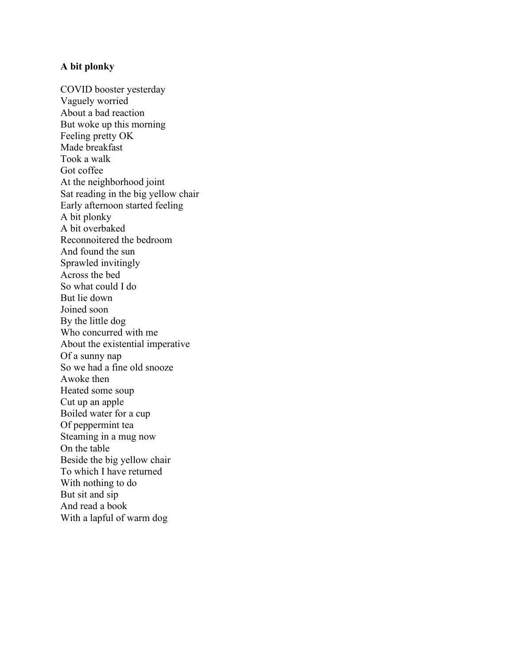#### **A bit plonky**

COVID booster yesterday Vaguely worried About a bad reaction But woke up this morning Feeling pretty OK Made breakfast Took a walk Got coffee At the neighborhood joint Sat reading in the big yellow chair Early afternoon started feeling A bit plonky A bit overbaked Reconnoitered the bedroom And found the sun Sprawled invitingly Across the bed So what could I do But lie down Joined soon By the little dog Who concurred with me About the existential imperative Of a sunny nap So we had a fine old snooze Awoke then Heated some soup Cut up an apple Boiled water for a cup Of peppermint tea Steaming in a mug now On the table Beside the big yellow chair To which I have returned With nothing to do But sit and sip And read a book With a lapful of warm dog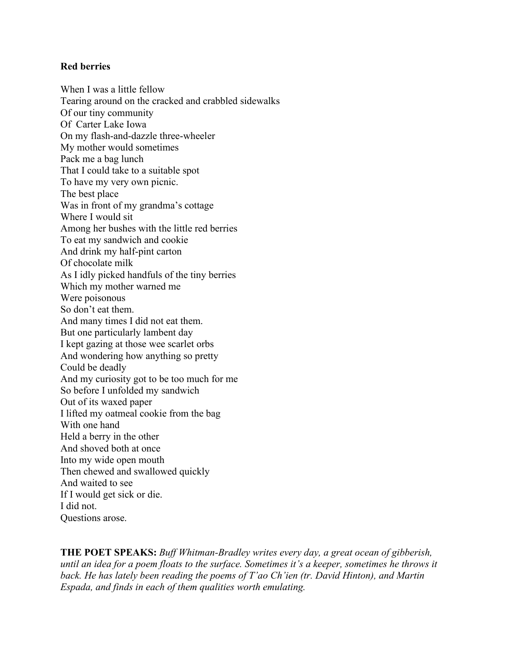## **Red berries**

When I was a little fellow Tearing around on the cracked and crabbled sidewalks Of our tiny community Of Carter Lake Iowa On my flash-and-dazzle three-wheeler My mother would sometimes Pack me a bag lunch That I could take to a suitable spot To have my very own picnic. The best place Was in front of my grandma's cottage Where I would sit Among her bushes with the little red berries To eat my sandwich and cookie And drink my half-pint carton Of chocolate milk As I idly picked handfuls of the tiny berries Which my mother warned me Were poisonous So don't eat them. And many times I did not eat them. But one particularly lambent day I kept gazing at those wee scarlet orbs And wondering how anything so pretty Could be deadly And my curiosity got to be too much for me So before I unfolded my sandwich Out of its waxed paper I lifted my oatmeal cookie from the bag With one hand Held a berry in the other And shoved both at once Into my wide open mouth Then chewed and swallowed quickly And waited to see If I would get sick or die. I did not. Questions arose.

**THE POET SPEAKS:** *Buff Whitman-Bradley writes every day, a great ocean of gibberish, until an idea for a poem floats to the surface. Sometimes it's a keeper, sometimes he throws it back. He has lately been reading the poems of T'ao Ch'ien (tr. David Hinton), and Martin Espada, and finds in each of them qualities worth emulating.*